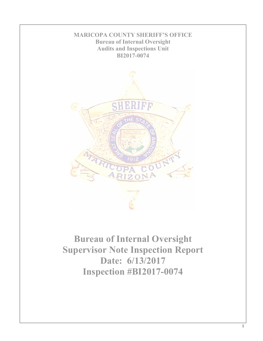

**Bureau of Internal Oversight Supervisor Note Inspection Report Date: 6/13/2017 Inspection #BI2017-0074**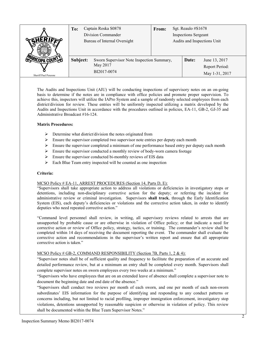|                      | Captain Roska S0878<br>To:<br>Division Commander<br>Bureau of Internal Oversight |                                                                      | Sgt. Reaulo #S1678<br>From:<br><b>Inspections Sergeant</b><br>Audits and Inspections Unit |  |       |                                                   |
|----------------------|----------------------------------------------------------------------------------|----------------------------------------------------------------------|-------------------------------------------------------------------------------------------|--|-------|---------------------------------------------------|
| Sheriff Paul Penzone | Subject:                                                                         | Sworn Supervisor Note Inspection Summary,<br>May 2017<br>BI2017-0074 |                                                                                           |  | Date: | June 13, 2017<br>Report Period:<br>May 1-31, 2017 |

The Audits and Inspections Unit (AIU) will be conducting inspections of supervisory notes on an on-going basis to determine if the notes are in compliance with office policies and promote proper supervision. To achieve this, inspectors will utilize the IAPro System and a sample of randomly selected employees from each district/division for review. These entries will be uniformly inspected utilizing a matrix developed by the Audits and Inspections Unit in accordance with the procedures outlined in policies, EA-11, GB-2, GJ-35 and Administrative Broadcast #16-124.

## **Matrix Procedures:**

- $\triangleright$  Determine what district/division the notes originated from
- $\triangleright$  Ensure the supervisor completed two supervisor note entries per deputy each month
- $\triangleright$  Ensure the supervisor completed a minimum of one performance based entry per deputy each month
- $\triangleright$  Ensure the supervisor conducted a monthly review of body-worn camera footage
- $\triangleright$  Ensure the supervisor conducted bi-monthly reviews of EIS data
- $\triangleright$  Each Blue Team entry inspected will be counted as one inspection

### **Criteria:**

### MCSO Policy # EA-11, ARREST PROCEDURES (Section 14, Parts D, E):

"Supervisors shall take appropriate action to address all violations or deficiencies in investigatory stops or detentions, including non-disciplinary corrective action for the deputy; or referring the incident for administrative review or criminal investigation. Supervisors **shall track**, through the Early Identification System (EIS), each deputy's deficiencies or violations and the corrective action taken, in order to identify deputies who need repeated corrective action."

"Command level personnel shall review, in writing, all supervisory reviews related to arrests that are unsupported by probable cause or are otherwise in violation of Office policy; or that indicate a need for corrective action or review of Office policy, strategy, tactics, or training. The commander's review shall be completed within 14 days of receiving the document reporting the event. The commander shall evaluate the corrective action and recommendations in the supervisor's written report and ensure that all appropriate corrective action is taken."

# MCSO Policy # GB-2, COMMAND RESPONSIBILITY (Section 7B, Parts 1, 2 & 4):

"Supervisor notes shall be of sufficient quality and frequency to facilitate the preparation of an accurate and detailed performance review, but at a minimum an entry shall be completed every month. Supervisors shall complete supervisor notes on sworn employees every two weeks at a minimum."

"Supervisors who have employees that are on an extended leave of absence shall complete a supervisor note to document the beginning date and end date of the absence."

"Supervisors shall conduct two reviews per month of each sworn, and one per month of each non-sworn subordinates' EIS information for the purpose of identifying and responding to any conduct patterns or concerns including, but not limited to racial profiling, improper immigration enforcement, investigatory stop violations, detentions unsupported by reasonable suspicion or otherwise in violation of policy. This review shall be documented within the Blue Team Supervisor Notes."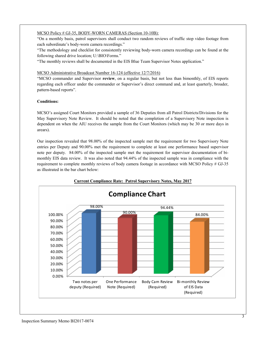# MCSO Policy # GJ-35, BODY-WORN CAMERAS (Section 10-10B):

"On a monthly basis, patrol supervisors shall conduct two random reviews of traffic stop video footage from each subordinate's body-worn camera recordings."

"The methodology and checklist for consistently reviewing body-worn camera recordings can be found at the following shared drive location; U:\BIO\Forms."

"The monthly reviews shall be documented in the EIS Blue Team Supervisor Notes application."

### MCSO Administrative Broadcast Number 16-124 (effective 12/7/2016)

"MCSO commander and Supervisor **review**, on a regular basis, but not less than bimonthly, of EIS reports regarding each officer under the commander or Supervisor's direct command and, at least quarterly, broader, pattern-based reports".

## **Conditions:**

MCSO's assigned Court Monitors provided a sample of 36 Deputies from all Patrol Districts/Divisions for the May Supervisory Note Review. It should be noted that the completion of a Supervisory Note inspection is dependent on when the AIU receives the sample from the Court Monitors (which may be 30 or more days in arears).

Our inspection revealed that 98.00% of the inspected sample met the requirement for two Supervisory Note entries per Deputy and 90.00% met the requirement to complete at least one performance based supervisor note per deputy. 84.00% of the inspected sample met the requirement for supervisor documentation of bimonthly EIS data review. It was also noted that 94.44% of the inspected sample was in compliance with the requirement to complete monthly reviews of body camera footage in accordance with MCSO Policy # GJ-35 as illustrated in the bar chart below:



# **Current Compliance Rate: Patrol Supervisory Notes, May 2017**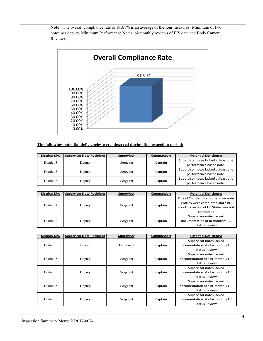**Note:** The overall compliance rate of 91.61% is an average of the four measures (Minimum of two notes per deputy, Minimum Performance Notes, bi-monthly reviews of EIS data and Body Camera Review).



# **The following potential deficiencies were observed during the inspection period:**

| District/Div. | <b>Supervisor Note Recipient</b> | <b>Supervisor</b> | Commander: | <b>Potential Deficiency:</b>                                    |
|---------------|----------------------------------|-------------------|------------|-----------------------------------------------------------------|
| District 3    | Deputy                           | Sergeant          | Captain    | Supervisor notes lacked at least one<br>performance based note. |
| District 3    | Deputy                           | Sergeant          | Captain    | Supervisor notes lacked at least one<br>performance based note. |
| District 3    | Deputy                           | Sergeant          | Captain    | Supervisor notes lacked at least one<br>performance based note. |

| District/Div. | <b>Supervisor Note Recipient</b> | <b>Supervisor</b> | Commander: | <b>Potential Deficiency:</b>                                                                                                 |
|---------------|----------------------------------|-------------------|------------|------------------------------------------------------------------------------------------------------------------------------|
| District 4    | Deputy                           | Sergeant          | Captain    | One of Two required supervisor note<br>entries were completed and a bi-<br>monthly review of EIS Status was not<br>completed |
| District 4    | Deputy                           | Sergeant          | Captain    | Supervisor notes lacked<br>documentation of bi-monthly EIS<br><b>Status Review</b>                                           |

| District/Div. | <b>Supervisor Note Recipient</b> | <b>Supervisor</b> | Commander: | <b>Potential Deficiency:</b>                                                         |
|---------------|----------------------------------|-------------------|------------|--------------------------------------------------------------------------------------|
| District 5    | Sergeant                         | Lieutenant        | Captain    | Supervisor notes lacked<br>documentation of a bi-monthly EIS<br>Status Review        |
| District 5    | Deputy                           | Sergeant          | Captain    | Supervisor notes lacked<br>documentation of a bi-monthly EIS<br><b>Status Review</b> |
| District 5    | Deputy                           | Sergeant          | Captain    | Supervisor notes lacked<br>documentation of a bi-monthly EIS<br><b>Status Review</b> |
| District 5    | Deputy                           | Sergeant          | Captain    | Supervisor notes lacked<br>documentation of a bi-monthly EIS<br><b>Status Review</b> |
| District 5    | Deputy                           | Sergeant          | Captain    | Supervisor notes lacked<br>documentation of a bi-monthly EIS<br><b>Status Review</b> |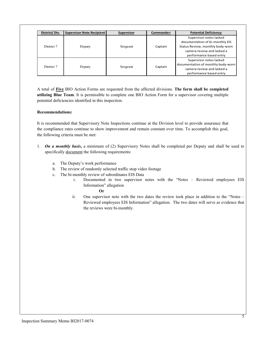| District/Div. | <b>Supervisor Note Recipient</b> | <b>Supervisor</b> | Commander: | <b>Potential Deficiency:</b>                                                                                                                            |
|---------------|----------------------------------|-------------------|------------|---------------------------------------------------------------------------------------------------------------------------------------------------------|
| District 7    | Deputy                           | Sergeant          | Captain    | Supervisor notes lacked<br>documentation of bi-monthly EIS<br>Status Review, monthly body-worn<br>camera review and lacked a<br>performance based entry |
| District 7    | Deputy                           | Sergeant          | Captain    | Supervisor notes lacked<br>documentation of monthly body-worn<br>camera review and lacked a<br>performance based entry                                  |

A total of **Five** BIO Action Forms are requested from the affected divisions. **The form shall be completed utilizing Blue Team**. It is permissible to complete one BIO Action Form for a supervisor covering multiple potential deficiencies identified in this inspection.

## **Recommendations:**

It is recommended that Supervisory Note Inspections continue at the Division level to provide assurance that the compliance rates continue to show improvement and remain constant over time. To accomplish this goal, the following criteria must be met:

- 1. *On a monthly basis***,** a minimum of (2) Supervisory Notes shall be completed per Deputy and shall be used to specifically document the following requirements:
	- a. The Deputy's work performance
	- b. The review of randomly selected traffic stop video footage
	- c. The bi-monthly review of subordinates EIS Data
		- i. Documented in two supervisor notes with the "Notes Reviewed employees EIS Information" allegation

**Or**

ii. One supervisor note with the two dates the review took place in addition to the "Notes – Reviewed employees EIS Information" allegation. The two dates will serve as evidence that the reviews were bi-monthly.